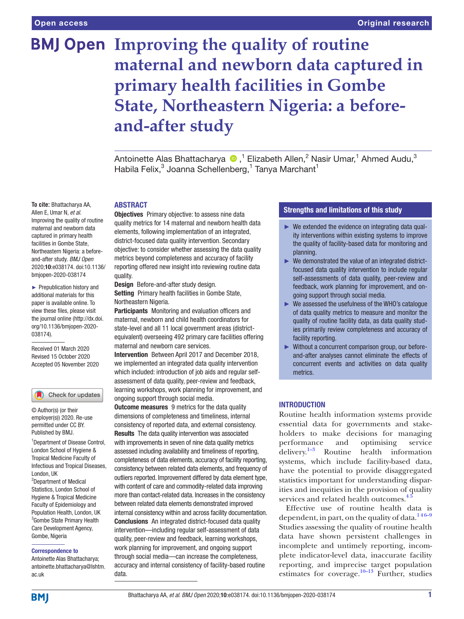# **BMJ Open Improving the quality of routine maternal and newborn data captured in primary health facilities in Gombe State, Northeastern Nigeria: a beforeand-after study**

Antoinette Alas Bhattacharya (D,<sup>1</sup> Elizabeth Allen,<sup>2</sup> Nasir Umar,<sup>1</sup> Ahmed Audu,<sup>3</sup> Habila Felix,<sup>3</sup> Joanna Schellenberg,<sup>1</sup> Tanya Marchant<sup>1</sup>

# ABSTRACT

**Objectives** Primary objective: to assess nine data quality metrics for 14 maternal and newborn health data elements, following implementation of an integrated, district-focused data quality intervention. Secondary objective: to consider whether assessing the data quality metrics beyond completeness and accuracy of facility reporting offered new insight into reviewing routine data quality.

Design Before-and-after study design. Setting Primary health facilities in Gombe State, Northeastern Nigeria.

Participants Monitoring and evaluation officers and maternal, newborn and child health coordinators for state-level and all 11 local government areas (districtequivalent) overseeing 492 primary care facilities offering maternal and newborn care services.

Intervention Between April 2017 and December 2018, we implemented an integrated data quality intervention which included: introduction of job aids and regular selfassessment of data quality, peer-review and feedback, learning workshops, work planning for improvement, and ongoing support through social media.

**Outcome measures** 9 metrics for the data quality dimensions of completeness and timeliness, internal consistency of reported data, and external consistency. Results The data quality intervention was associated with improvements in seven of nine data quality metrics assessed including availability and timeliness of reporting, completeness of data elements, accuracy of facility reporting, consistency between related data elements, and frequency of outliers reported. Improvement differed by data element type, with content of care and commodity-related data improving more than contact-related data. Increases in the consistency between related data elements demonstrated improved internal consistency within and across facility documentation. Conclusions An integrated district-focused data quality intervention—including regular self-assessment of data quality, peer-review and feedback, learning workshops, work planning for improvement, and ongoing support through social media—can increase the completeness, accuracy and internal consistency of facility-based routine data.

# Strengths and limitations of this study

- $\triangleright$  We extended the evidence on integrating data quality interventions within existing systems to improve the quality of facility-based data for monitoring and planning.
- ► We demonstrated the value of an integrated districtfocused data quality intervention to include regular self-assessments of data quality, peer-review and feedback, work planning for improvement, and ongoing support through social media.
- ► We assessed the usefulness of the WHO's catalogue of data quality metrics to measure and monitor the quality of routine facility data, as data quality studies primarily review completeness and accuracy of facility reporting.
- ► Without a concurrent comparison group, our beforeand-after analyses cannot eliminate the effects of concurrent events and activities on data quality metrics.

# **INTRODUCTION**

Routine health information systems provide essential data for governments and stakeholders to make decisions for managing performance and optimising service delivery. $1-3$  Routine health information systems, which include facility-based data, have the potential to provide disaggregated statistics important for understanding disparities and inequities in the provision of quality services and related health outcomes.<sup>4</sup>

Effective use of routine health data is dependent, in part, on the quality of data. $146-9$ Studies assessing the quality of routine health data have shown persistent challenges in incomplete and untimely reporting, incomplete indicator-level data, inaccurate facility reporting, and imprecise target population estimates for coverage.<sup>[10–13](#page-8-2)</sup> Further, studies

Allen E, Umar N, *et al*. Improving the quality of routine maternal and newborn data captured in primary health facilities in Gombe State, Northeastern Nigeria: a beforeand-after study. *BMJ Open* 2020;10:e038174. doi:10.1136/ bmjopen-2020-038174

**To cite:** Bhattacharya AA,

► Prepublication history and additional materials for this paper is available online. To view these files, please visit the journal online (http://dx.doi. org/10.1136/bmjopen-2020- 038174).

Received 01 March 2020 Revised 15 October 2020 Accepted 05 November 2020

## Check for updates

© Author(s) (or their employer(s)) 2020. Re-use permitted under CC BY. Published by BMJ.

1 Department of Disease Control, London School of Hygiene & Tropical Medicine Faculty of Infectious and Tropical Diseases, London, UK

2 Department of Medical Statistics, London School of Hygiene & Tropical Medicine Faculty of Epidemiology and Population Health, London, UK 3 Gombe State Primary Health Care Development Agency, Gombe, Nigeria

#### Correspondence to

Antoinette Alas Bhattacharya; antoinette.bhattacharya@lshtm. ac.uk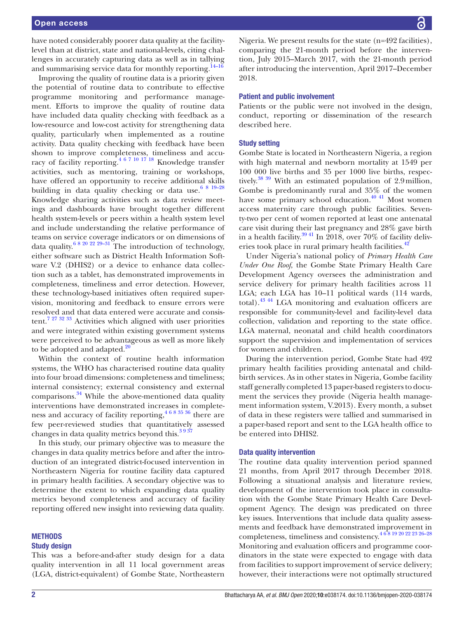have noted considerably poorer data quality at the facilitylevel than at district, state and national-levels, citing challenges in accurately capturing data as well as in tallying and summarising service data for monthly reporting. $14-16$ 

Improving the quality of routine data is a priority given the potential of routine data to contribute to effective programme monitoring and performance management. Efforts to improve the quality of routine data have included data quality checking with feedback as a low-resource and low-cost activity for strengthening data quality, particularly when implemented as a routine activity. Data quality checking with feedback have been shown to improve completeness, timeliness and accuracy of facility reporting[.4 6 7 10 17 18](#page-8-1) Knowledge transfer activities, such as mentoring, training or workshops, have offered an opportunity to receive additional skills building in data quality checking or data use. $6819-28$ Knowledge sharing activities such as data review meetings and dashboards have brought together different health system-levels or peers within a health system level and include understanding the relative performance of teams on service coverage indicators or on dimensions of data quality.<sup>6 8 20 22 29–31</sup> The introduction of technology, either software such as District Health Information Software V.2 (DHIS2) or a device to enhance data collection such as a tablet, has demonstrated improvements in completeness, timeliness and error detection. However, these technology-based initiatives often required supervision, monitoring and feedback to ensure errors were resolved and that data entered were accurate and consis-tent.<sup>[7 27 32 33](#page-8-5)</sup> Activities which aligned with user priorities and were integrated within existing government systems were perceived to be advantageous as well as more likely to be adopted and adapted. $20$ 

Within the context of routine health information systems, the WHO has characterised routine data quality into four broad dimensions: completeness and timeliness; internal consistency; external consistency and external comparisons. $34$  While the above-mentioned data quality interventions have demonstrated increases in completeness and accuracy of facility reporting,  $4683536$  there are few peer-reviewed studies that quantitatively assessed changes in data quality metrics beyond this.<sup>3937</sup>

In this study, our primary objective was to measure the changes in data quality metrics before and after the introduction of an integrated district-focused intervention in Northeastern Nigeria for routine facility data captured in primary health facilities. A secondary objective was to determine the extent to which expanding data quality metrics beyond completeness and accuracy of facility reporting offered new insight into reviewing data quality.

#### **METHODS**

#### Study design

This was a before-and-after study design for a data quality intervention in all 11 local government areas (LGA, district-equivalent) of Gombe State, Northeastern Nigeria. We present results for the state (n=492 facilities), comparing the 21-month period before the intervention, July 2015–March 2017, with the 21-month period after introducing the intervention, April 2017–December 2018.

#### Patient and public involvement

Patients or the public were not involved in the design, conduct, reporting or dissemination of the research described here.

#### Study setting

Gombe State is located in Northeastern Nigeria, a region with high maternal and newborn mortality at 1549 per 100 000 live births and 35 per 1000 live births, respectively.<sup>38 39</sup> With an estimated population of 2.9million, Gombe is predominantly rural and 35% of the women have some primary school education.<sup>40 41</sup> Most women access maternity care through public facilities. Seventy-two per cent of women reported at least one antenatal care visit during their last pregnancy and 28% gave birth in a health facility.<sup>3941</sup> In 2018, over 70% of facility deliv-eries took place in rural primary health facilities.<sup>[42](#page-9-4)</sup>

Under Nigeria's national policy of *Primary Health Care Under One Roof*, the Gombe State Primary Health Care Development Agency oversees the administration and service delivery for primary health facilities across 11 LGA; each LGA has 10–11 political wards (114 wards, total)[.43 44](#page-9-5) LGA monitoring and evaluation officers are responsible for community-level and facility-level data collection, validation and reporting to the state office. LGA maternal, neonatal and child health coordinators support the supervision and implementation of services for women and children.

During the intervention period, Gombe State had 492 primary health facilities providing antenatal and childbirth services. As in other states in Nigeria, Gombe facility staff generally completed 13 paper-based registers to document the services they provide (Nigeria health management information system, V.2013). Every month, a subset of data in these registers were tallied and summarised in a paper-based report and sent to the LGA health office to be entered into DHIS2.

#### Data quality intervention

The routine data quality intervention period spanned 21 months, from April 2017 through December 2018. Following a situational analysis and literature review, development of the intervention took place in consultation with the Gombe State Primary Health Care Development Agency. The design was predicated on three key issues. Interventions that include data quality assessments and feedback have demonstrated improvement in completeness, timeliness and consistency.  $4681920222326-28$ Monitoring and evaluation officers and programme coordinators in the state were expected to engage with data from facilities to support improvement of service delivery; however, their interactions were not optimally structured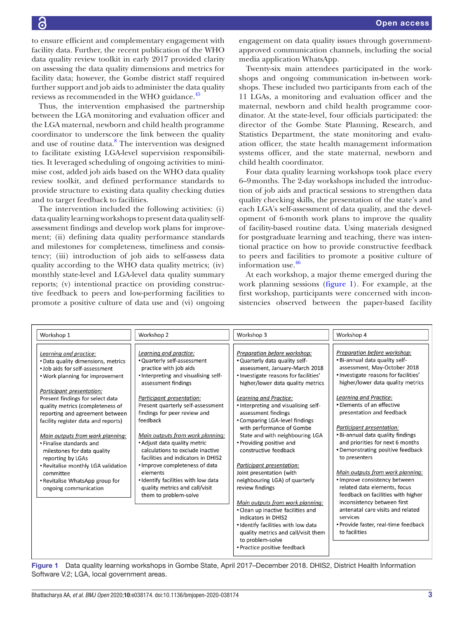to ensure efficient and complementary engagement with facility data. Further, the recent publication of the WHO data quality review toolkit in early 2017 provided clarity on assessing the data quality dimensions and metrics for facility data; however, the Gombe district staff required further support and job aids to administer the data quality reviews as recommended in the WHO guidance.<sup>45</sup>

Thus, the intervention emphasised the partnership between the LGA monitoring and evaluation officer and the LGA maternal, newborn and child health programme coordinator to underscore the link between the quality and use of routine data.<sup>[8](#page-8-8)</sup> The intervention was designed to facilitate existing LGA-level supervision responsibilities. It leveraged scheduling of ongoing activities to minimise cost, added job aids based on the WHO data quality review toolkit, and defined performance standards to provide structure to existing data quality checking duties and to target feedback to facilities.

The intervention included the following activities: (i) data quality learning workshops to present data quality selfassessment findings and develop work plans for improvement; (ii) defining data quality performance standards and milestones for completeness, timeliness and consistency; (iii) introduction of job aids to self-assess data quality according to the WHO data quality metrics; (iv) monthly state-level and LGA-level data quality summary reports; (v) intentional practice on providing constructive feedback to peers and low-performing facilities to promote a positive culture of data use and (vi) ongoing

engagement on data quality issues through governmentapproved communication channels, including the social media application WhatsApp.

Twenty-six main attendees participated in the workshops and ongoing communication in-between workshops. These included two participants from each of the 11 LGAs, a monitoring and evaluation officer and the maternal, newborn and child health programme coordinator. At the state-level, four officials participated: the director of the Gombe State Planning, Research, and Statistics Department, the state monitoring and evaluation officer, the state health management information systems officer, and the state maternal, newborn and child health coordinator.

Four data quality learning workshops took place every 6–9months. The 2-day workshops included the introduction of job aids and practical sessions to strengthen data quality checking skills, the presentation of the state's and each LGA's self-assessment of data quality, and the development of 6-month work plans to improve the quality of facility-based routine data. Using materials designed for postgraduate learning and teaching, there was intentional practice on how to provide constructive feedback to peers and facilities to promote a positive culture of information use[.46](#page-9-7)

At each workshop, a major theme emerged during the work planning sessions [\(figure](#page-2-0) 1). For example, at the first workshop, participants were concerned with inconsistencies observed between the paper-based facility

| Workshop 1                                                                                                                                                                                                                                                                                                                                                                                                                                                                                                                                           | Workshop 2                                                                                                                                                                                                                                                                                                                                                                                                                                                                                                                                                 | Workshop 3                                                                                                                                                                                                                                                                                                                                                                                                                                                                                                                                                                                                                                                                                                                                                                      | Workshop 4                                                                                                                                                                                                                                                                                                                                                                                                                                                                                                                                                                                                                                                                                                        |
|------------------------------------------------------------------------------------------------------------------------------------------------------------------------------------------------------------------------------------------------------------------------------------------------------------------------------------------------------------------------------------------------------------------------------------------------------------------------------------------------------------------------------------------------------|------------------------------------------------------------------------------------------------------------------------------------------------------------------------------------------------------------------------------------------------------------------------------------------------------------------------------------------------------------------------------------------------------------------------------------------------------------------------------------------------------------------------------------------------------------|---------------------------------------------------------------------------------------------------------------------------------------------------------------------------------------------------------------------------------------------------------------------------------------------------------------------------------------------------------------------------------------------------------------------------------------------------------------------------------------------------------------------------------------------------------------------------------------------------------------------------------------------------------------------------------------------------------------------------------------------------------------------------------|-------------------------------------------------------------------------------------------------------------------------------------------------------------------------------------------------------------------------------------------------------------------------------------------------------------------------------------------------------------------------------------------------------------------------------------------------------------------------------------------------------------------------------------------------------------------------------------------------------------------------------------------------------------------------------------------------------------------|
| Learning and practice:<br>• Data quality dimensions, metrics<br>. Job aids for self-assessment<br>. Work planning for improvement<br>Participant presentation:<br>Present findings for select data<br>quality metrics (completeness of<br>reporting and agreement between<br>facility register data and reports)<br>Main outputs from work planning:<br>• Finalise standards and<br>milestones for data quality<br>reporting by LGAs<br>• Revitalise monthly LGA validation<br>committee<br>• Revitalise WhatsApp group for<br>ongoing communication | Learning and practice:<br>• Quarterly self-assessment<br>practice with job aids<br>• Interpreting and visualising self-<br>assessment findings<br>Participant presentation:<br>Present quarterly self-assessment<br>findings for peer review and<br>feedback<br>Main outputs from work planning:<br>• Adjust data quality metric<br>calculations to exclude inactive<br>facilities and indicators in DHIS2<br>• Improve completeness of data<br>elements<br>• Identify facilities with low data<br>quality metrics and call/visit<br>them to problem-solve | Preparation before workshop:<br>. Quarterly data quality self-<br>assessment, January-March 2018<br>· Investigate reasons for facilities'<br>higher/lower data quality metrics<br>Learning and Practice:<br>. Interpreting and visualising self-<br>assessment findings<br>• Comparing LGA-level findings<br>with performance of Gombe<br>State and with neighbouring LGA<br>• Providing positive and<br>constructive feedback<br>Participant presentation:<br>Joint presentation (with<br>neighbouring LGA) of quarterly<br>review findings<br>Main outputs from work planning:<br>• Clean up inactive facilities and<br>indicators in DHIS2<br>· Identify facilities with low data<br>quality metrics and call/visit them<br>to problem-solve<br>• Practice positive feedback | Preparation before workshop:<br>. Bi-annual data quality self-<br>assessment, May-October 2018<br>· Investigate reasons for facilities'<br>higher/lower data quality metrics<br>Learning and Practice:<br>• Elements of an effective<br>presentation and feedback<br>Participant presentation:<br>• Bi-annual data quality findings<br>and priorities for next 6 months<br>• Demonstrating positive feedback<br>to presenters<br>Main outputs from work planning:<br>• Improve consistency between<br>related data elements, focus<br>feedback on facilities with higher<br>inconsistency between first<br>antenatal care visits and related<br>services<br>• Provide faster, real-time feedback<br>to facilities |

<span id="page-2-0"></span>Figure 1 Data quality learning workshops in Gombe State, April 2017–December 2018. DHIS2, District Health Information Software V.2; LGA, local government areas.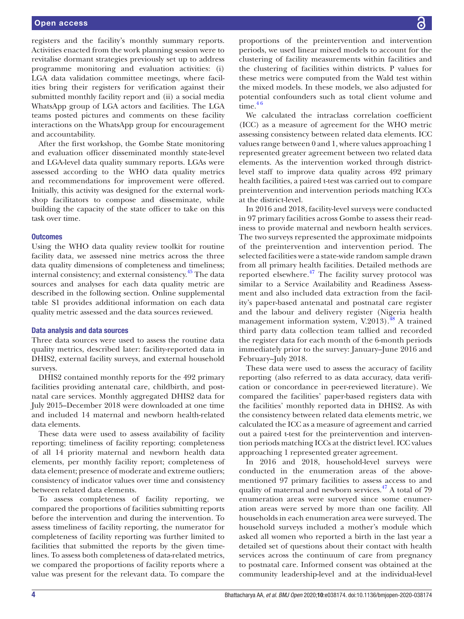## Open access

registers and the facility's monthly summary reports. Activities enacted from the work planning session were to revitalise dormant strategies previously set up to address programme monitoring and evaluation activities: (i) LGA data validation committee meetings, where facilities bring their registers for verification against their submitted monthly facility report and (ii) a social media WhatsApp group of LGA actors and facilities. The LGA teams posted pictures and comments on these facility interactions on the WhatsApp group for encouragement and accountability.

After the first workshop, the Gombe State monitoring and evaluation officer disseminated monthly state-level and LGA-level data quality summary reports. LGAs were assessed according to the WHO data quality metrics and recommendations for improvement were offered. Initially, this activity was designed for the external workshop facilitators to compose and disseminate, while building the capacity of the state officer to take on this task over time.

#### **Outcomes**

Using the WHO data quality review toolkit for routine facility data, we assessed nine metrics across the three data quality dimensions of completeness and timeliness; internal consistency; and external consistency.<sup>45</sup> The data sources and analyses for each data quality metric are described in the following section. [Online supplemental](https://dx.doi.org/10.1136/bmjopen-2020-038174) [table S1](https://dx.doi.org/10.1136/bmjopen-2020-038174) provides additional information on each data quality metric assessed and the data sources reviewed.

#### Data analysis and data sources

Three data sources were used to assess the routine data quality metrics, described later: facility-reported data in DHIS2, external facility surveys, and external household surveys.

DHIS2 contained monthly reports for the 492 primary facilities providing antenatal care, childbirth, and postnatal care services. Monthly aggregated DHIS2 data for July 2015–December 2018 were downloaded at one time and included 14 maternal and newborn health-related data elements.

These data were used to assess availability of facility reporting; timeliness of facility reporting; completeness of all 14 priority maternal and newborn health data elements, per monthly facility report; completeness of data element; presence of moderate and extreme outliers; consistency of indicator values over time and consistency between related data elements.

To assess completeness of facility reporting, we compared the proportions of facilities submitting reports before the intervention and during the intervention. To assess timeliness of facility reporting, the numerator for completeness of facility reporting was further limited to facilities that submitted the reports by the given timelines. To assess both completeness of data-related metrics, we compared the proportions of facility reports where a value was present for the relevant data. To compare the

proportions of the preintervention and intervention periods, we used linear mixed models to account for the clustering of facility measurements within facilities and the clustering of facilities within districts. P values for these metrics were computed from the Wald test within the mixed models. In these models, we also adjusted for potential confounders such as total client volume and  $time.<sup>46</sup>$ 

We calculated the intraclass correlation coefficient (ICC) as a measure of agreement for the WHO metric assessing consistency between related data elements. ICC values range between 0 and 1, where values approaching 1 represented greater agreement between two related data elements. As the intervention worked through districtlevel staff to improve data quality across 492 primary health facilities, a paired t-test was carried out to compare preintervention and intervention periods matching ICCs at the district-level.

In 2016 and 2018, facility-level surveys were conducted in 97 primary facilities across Gombe to assess their readiness to provide maternal and newborn health services. The two surveys represented the approximate midpoints of the preintervention and intervention period. The selected facilities were a state-wide random sample drawn from all primary health facilities. Detailed methods are reported elsewhere. $^{47}$  $^{47}$  $^{47}$  The facility survey protocol was similar to a Service Availability and Readiness Assessment and also included data extraction from the facility's paper-based antenatal and postnatal care register and the labour and delivery register (Nigeria health management information system, V.2013).<sup>[48](#page-9-9)</sup> A trained third party data collection team tallied and recorded the register data for each month of the 6-month periods immediately prior to the survey: January–June 2016 and February–July 2018.

These data were used to assess the accuracy of facility reporting (also referred to as data accuracy, data verification or concordance in peer-reviewed literature). We compared the facilities' paper-based registers data with the facilities' monthly reported data in DHIS2. As with the consistency between related data elements metric, we calculated the ICC as a measure of agreement and carried out a paired t-test for the preintervention and intervention periods matching ICCs at the district level. ICC values approaching 1 represented greater agreement.

In 2016 and 2018, household-level surveys were conducted in the enumeration areas of the abovementioned 97 primary facilities to assess access to and quality of maternal and newborn services. $47$  A total of 79 enumeration areas were surveyed since some enumeration areas were served by more than one facility. All households in each enumeration area were surveyed. The household surveys included a mother's module which asked all women who reported a birth in the last year a detailed set of questions about their contact with health services across the continuum of care from pregnancy to postnatal care. Informed consent was obtained at the community leadership-level and at the individual-level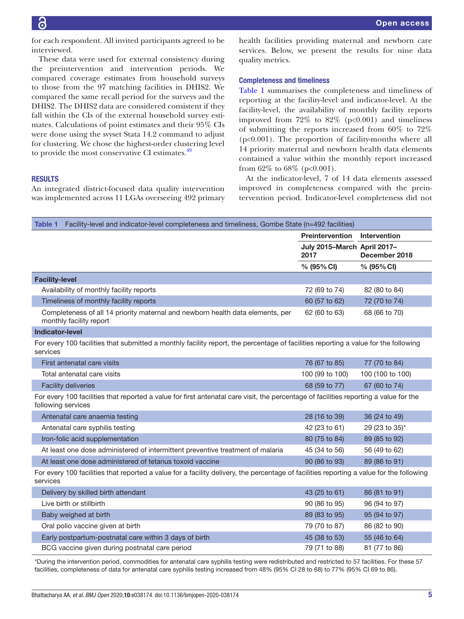for each respondent. All invited participants agreed to be interviewed.

These data were used for external consistency during the preintervention and intervention periods. We compared coverage estimates from household surveys to those from the 97 matching facilities in DHIS2. We compared the same recall period for the surveys and the DHIS2. The DHIS2 data are considered consistent if they fall within the CIs of the external household survey estimates. Calculations of point estimates and their 95% CIs were done using the svyset Stata 14.2 command to adjust for clustering. We chose the highest-order clustering level to provide the most conservative CI estimates.<sup>49</sup>

## **RESULTS**

An integrated district-focused data quality intervention was implemented across 11 LGAs overseeing 492 primary health facilities providing maternal and newborn care services. Below, we present the results for nine data quality metrics.

#### Completeness and timeliness

[Table](#page-4-0) 1 summarises the completeness and timeliness of reporting at the facility-level and indicator-level. At the facility-level, the availability of monthly facility reports improved from  $72\%$  to  $82\%$  (p<0.001) and timeliness of submitting the reports increased from 60% to 72% (p<0.001). The proportion of facility-months where all 14 priority maternal and newborn health data elements contained a value within the monthly report increased from  $62\%$  to  $68\%$  (p<0.001).

At the indicator-level, 7 of 14 data elements assessed improved in completeness compared with the preintervention period. Indicator-level completeness did not

<span id="page-4-0"></span>

| Facility-level and indicator-level completeness and timeliness, Gombe State (n=492 facilities)<br><b>Table 1</b>                                            |                                     |                  |  |  |  |
|-------------------------------------------------------------------------------------------------------------------------------------------------------------|-------------------------------------|------------------|--|--|--|
|                                                                                                                                                             | Preintervention                     | Intervention     |  |  |  |
|                                                                                                                                                             | July 2015-March April 2017-<br>2017 | December 2018    |  |  |  |
|                                                                                                                                                             | % (95% CI)                          | % (95% CI)       |  |  |  |
| <b>Facility-level</b>                                                                                                                                       |                                     |                  |  |  |  |
| Availability of monthly facility reports                                                                                                                    | 72 (69 to 74)                       | 82 (80 to 84)    |  |  |  |
| Timeliness of monthly facility reports<br>60 (57 to 62)                                                                                                     |                                     | 72 (70 to 74)    |  |  |  |
| Completeness of all 14 priority maternal and newborn health data elements, per<br>monthly facility report                                                   | 62 (60 to 63)                       | 68 (66 to 70)    |  |  |  |
| <b>Indicator-level</b>                                                                                                                                      |                                     |                  |  |  |  |
| For every 100 facilities that submitted a monthly facility report, the percentage of facilities reporting a value for the following<br>services             |                                     |                  |  |  |  |
| First antenatal care visits                                                                                                                                 | 76 (67 to 85)                       | 77 (70 to 84)    |  |  |  |
| Total antenatal care visits                                                                                                                                 | 100 (99 to 100)                     | 100 (100 to 100) |  |  |  |
| <b>Facility deliveries</b>                                                                                                                                  | 68 (59 to 77)                       | 67 (60 to 74)    |  |  |  |
| For every 100 facilities that reported a value for first antenatal care visit, the percentage of facilities reporting a value for the<br>following services |                                     |                  |  |  |  |
| Antenatal care anaemia testing                                                                                                                              | 28 (16 to 39)                       | 36 (24 to 49)    |  |  |  |
| Antenatal care syphilis testing                                                                                                                             | 42 (23 to 61)                       | 29 (23 to 35)*   |  |  |  |
| Iron-folic acid supplementation                                                                                                                             | 80 (75 to 84)                       | 89 (85 to 92)    |  |  |  |
| At least one dose administered of intermittent preventive treatment of malaria                                                                              | 45 (34 to 56)                       | 56 (49 to 62)    |  |  |  |
| At least one dose administered of tetanus toxoid vaccine                                                                                                    | 90 (86 to 93)                       | 89 (86 to 91)    |  |  |  |
| For every 100 facilities that reported a value for a facility delivery, the percentage of facilities reporting a value for the following<br>services        |                                     |                  |  |  |  |
| Delivery by skilled birth attendant                                                                                                                         | 43 (25 to 61)                       | 86 (81 to 91)    |  |  |  |
| Live birth or stillbirth                                                                                                                                    | 90 (86 to 95)                       | 96 (94 to 97)    |  |  |  |
| Baby weighed at birth                                                                                                                                       | 89 (83 to 95)                       | 95 (94 to 97)    |  |  |  |
| Oral polio vaccine given at birth                                                                                                                           | 79 (70 to 87)                       | 86 (82 to 90)    |  |  |  |
| Early postpartum-postnatal care within 3 days of birth                                                                                                      | 45 (38 to 53)                       | 55 (46 to 64)    |  |  |  |
| BCG vaccine given during postnatal care period                                                                                                              | 79 (71 to 88)                       | 81 (77 to 86)    |  |  |  |
| *During the intersection period, commodition for optensial oare oupbilin testing were redistributed and restricted to 57 feelities. Far these 57            |                                     |                  |  |  |  |

\*During the intervention period, commodities for antenatal care syphilis testing were redistributed and restricted to 57 facilities. For these 57 facilities, completeness of data for antenatal care syphilis testing increased from 48% (95% CI 28 to 68) to 77% (95% CI 69 to 86).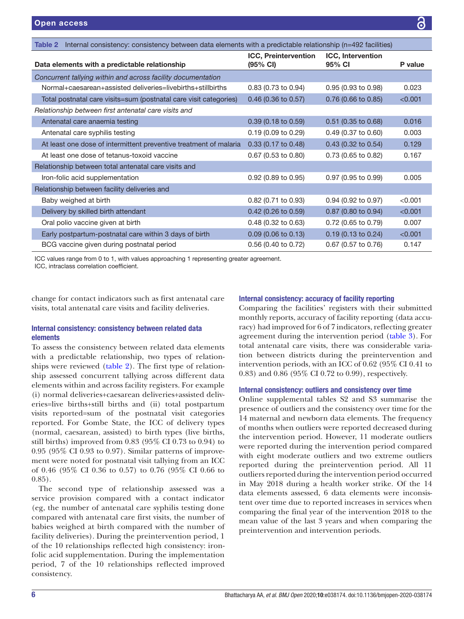<span id="page-5-0"></span>

| Internal consistency: consistency between data elements with a predictable relationship (n=492 facilities)<br>Table 2 |                                         |                                    |         |  |
|-----------------------------------------------------------------------------------------------------------------------|-----------------------------------------|------------------------------------|---------|--|
| Data elements with a predictable relationship                                                                         | <b>ICC, Preintervention</b><br>(95% CI) | <b>ICC, Intervention</b><br>95% CI | P value |  |
| Concurrent tallying within and across facility documentation                                                          |                                         |                                    |         |  |
| Normal+caesarean+assisted deliveries=livebirths+stillbirths                                                           | 0.83 (0.73 to 0.94)                     | 0.95 (0.93 to 0.98)                | 0.023   |  |
| Total postnatal care visits=sum (postnatal care visit categories)                                                     | $0.46$ (0.36 to 0.57)                   | $0.76$ (0.66 to 0.85)              | < 0.001 |  |
| Relationship between first antenatal care visits and                                                                  |                                         |                                    |         |  |
| Antenatal care anaemia testing                                                                                        | $0.39$ (0.18 to 0.59)                   | $0.51$ (0.35 to 0.68)              | 0.016   |  |
| Antenatal care syphilis testing                                                                                       | 0.19(0.09 to 0.29)                      | 0.49 (0.37 to 0.60)                | 0.003   |  |
| At least one dose of intermittent preventive treatment of malaria                                                     | $0.33(0.17 \text{ to } 0.48)$           | $0.43$ (0.32 to 0.54)              | 0.129   |  |
| At least one dose of tetanus-toxoid vaccine                                                                           | $0.67$ (0.53 to 0.80)                   | 0.73 (0.65 to 0.82)                | 0.167   |  |
| Relationship between total antenatal care visits and                                                                  |                                         |                                    |         |  |
| Iron-folic acid supplementation                                                                                       | $0.92$ (0.89 to 0.95)                   | 0.97 (0.95 to 0.99)                | 0.005   |  |
| Relationship between facility deliveries and                                                                          |                                         |                                    |         |  |
| Baby weighed at birth                                                                                                 | $0.82$ (0.71 to 0.93)                   | 0.94 (0.92 to 0.97)                | < 0.001 |  |
| Delivery by skilled birth attendant                                                                                   | $0.42$ (0.26 to 0.59)                   | 0.87 (0.80 to 0.94)                | < 0.001 |  |
| Oral polio vaccine given at birth                                                                                     | $0.48$ (0.32 to 0.63)                   | $0.72$ (0.65 to 0.79)              | 0.007   |  |
| Early postpartum-postnatal care within 3 days of birth                                                                | $0.09$ (0.06 to 0.13)                   | $0.19(0.13 \text{ to } 0.24)$      | < 0.001 |  |
| BCG vaccine given during postnatal period                                                                             | $0.56$ (0.40 to 0.72)                   | 0.67 (0.57 to 0.76)                | 0.147   |  |

ICC values range from 0 to 1, with values approaching 1 representing greater agreement. ICC, intraclass correlation coefficient.

change for contact indicators such as first antenatal care visits, total antenatal care visits and facility deliveries.

# Internal consistency: consistency between related data elements

To assess the consistency between related data elements with a predictable relationship, two types of relationships were reviewed ([table](#page-5-0) 2). The first type of relationship assessed concurrent tallying across different data elements within and across facility registers. For example (i) normal deliveries+caesarean deliveries+assisted deliveries=live births+still births and (ii) total postpartum visits reported=sum of the postnatal visit categories reported. For Gombe State, the ICC of delivery types (normal, caesarean, assisted) to birth types (live births, still births) improved from 0.83 (95% CI 0.73 to 0.94) to 0.95 (95% CI 0.93 to 0.97). Similar patterns of improvement were noted for postnatal visit tallying from an ICC of 0.46 (95% CI 0.36 to 0.57) to 0.76 (95% CI 0.66 to 0.85).

The second type of relationship assessed was a service provision compared with a contact indicator (eg, the number of antenatal care syphilis testing done compared with antenatal care first visits, the number of babies weighed at birth compared with the number of facility deliveries). During the preintervention period, 1 of the 10 relationships reflected high consistency: ironfolic acid supplementation. During the implementation period, 7 of the 10 relationships reflected improved consistency.

## Internal consistency: accuracy of facility reporting

Comparing the facilities' registers with their submitted monthly reports, accuracy of facility reporting (data accuracy) had improved for 6 of 7 indicators, reflecting greater agreement during the intervention period [\(table](#page-6-0) 3). For total antenatal care visits, there was considerable variation between districts during the preintervention and intervention periods, with an ICC of 0.62 (95% CI 0.41 to 0.83) and 0.86 (95% CI 0.72 to 0.99), respectively.

#### Internal consistency: outliers and consistency over time

[Online supplemental tables S2 and S3](https://dx.doi.org/10.1136/bmjopen-2020-038174) summarise the presence of outliers and the consistency over time for the 14 maternal and newborn data elements. The frequency of months when outliers were reported decreased during the intervention period. However, 11 moderate outliers were reported during the intervention period compared with eight moderate outliers and two extreme outliers reported during the preintervention period. All 11 outliers reported during the intervention period occurred in May 2018 during a health worker strike. Of the 14 data elements assessed, 6 data elements were inconsistent over time due to reported increases in services when comparing the final year of the intervention 2018 to the mean value of the last 3 years and when comparing the preintervention and intervention periods.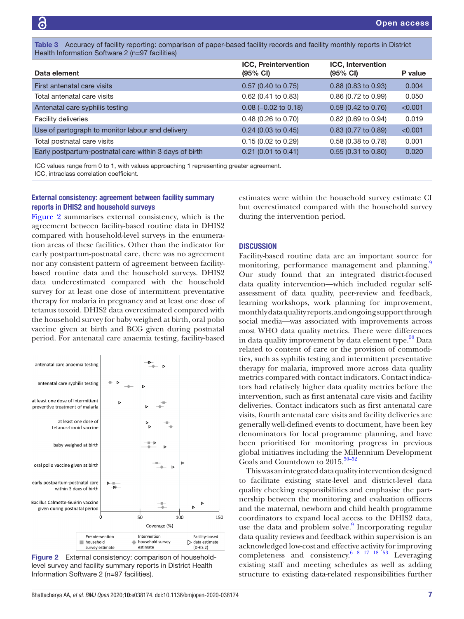<span id="page-6-0"></span>Table 3 Accuracy of facility reporting: comparison of paper-based facility records and facility monthly reports in District Health Information Software 2 (n=97 facilities)

| Data element                                           | <b>ICC, Preintervention</b><br>$(95% \text{ Cl})$ | <b>ICC, Intervention</b><br>$(95% \text{ Cl})$ | P value |
|--------------------------------------------------------|---------------------------------------------------|------------------------------------------------|---------|
| First antenatal care visits                            | $0.57$ (0.40 to 0.75)                             | $0.88$ (0.83 to 0.93)                          | 0.004   |
| Total antenatal care visits                            | $0.62$ (0.41 to 0.83)                             | 0.86 (0.72 to 0.99)                            | 0.050   |
| Antenatal care syphilis testing                        | $0.08$ (-0.02 to 0.18)                            | $0.59$ (0.42 to 0.76)                          | < 0.001 |
| Facility deliveries                                    | $0.48$ (0.26 to 0.70)                             | 0.82 (0.69 to 0.94)                            | 0.019   |
| Use of partograph to monitor labour and delivery       | $0.24$ (0.03 to 0.45)                             | $0.83$ (0.77 to 0.89)                          | < 0.001 |
| Total postnatal care visits                            | $0.15(0.02)$ to $0.29$ )                          | $0.58$ (0.38 to 0.78)                          | 0.001   |
| Early postpartum-postnatal care within 3 days of birth | $0.21$ (0.01 to 0.41)                             | $0.55(0.31)$ to $0.80$ )                       | 0.020   |

ICC values range from 0 to 1, with values approaching 1 representing greater agreement.

ICC, intraclass correlation coefficient.

# External consistency: agreement between facility summary reports in DHIS2 and household surveys

[Figure](#page-6-1) 2 summarises external consistency, which is the agreement between facility-based routine data in DHIS2 compared with household-level surveys in the enumeration areas of these facilities. Other than the indicator for early postpartum-postnatal care, there was no agreement nor any consistent pattern of agreement between facilitybased routine data and the household surveys. DHIS2 data underestimated compared with the household survey for at least one dose of intermittent preventative therapy for malaria in pregnancy and at least one dose of tetanus toxoid. DHIS2 data overestimated compared with the household survey for baby weighed at birth, oral polio vaccine given at birth and BCG given during postnatal period. For antenatal care anaemia testing, facility-based



<span id="page-6-1"></span>Figure 2 External consistency: comparison of householdlevel survey and facility summary reports in District Health Information Software 2 (n=97 facilities).

Bhattacharya AA, *et al*. *BMJ Open* 2020;10:e038174. doi:10.1136/bmjopen-2020-038174 7

estimates were within the household survey estimate CI but overestimated compared with the household survey during the intervention period.

## **DISCUSSION**

Facility-based routine data are an important source for monitoring, performance management and planning. Our study found that an integrated district-focused data quality intervention—which included regular selfassessment of data quality, peer-review and feedback, learning workshops, work planning for improvement, monthly data quality reports, and ongoing support through social media—was associated with improvements across most WHO data quality metrics. There were differences in data quality improvement by data element type.<sup>[50](#page-9-11)</sup> Data related to content of care or the provision of commodities, such as syphilis testing and intermittent preventative therapy for malaria, improved more across data quality metrics compared with contact indicators. Contact indicators had relatively higher data quality metrics before the intervention, such as first antenatal care visits and facility deliveries. Contact indicators such as first antenatal care visits, fourth antenatal care visits and facility deliveries are generally well-defined events to document, have been key denominators for local programme planning, and have been prioritised for monitoring progress in previous global initiatives including the Millennium Development Goals and Countdown to  $2015.^{50-52}$ 

This was an integrated data quality intervention designed to facilitate existing state-level and district-level data quality checking responsibilities and emphasise the partnership between the monitoring and evaluation officers and the maternal, newborn and child health programme coordinators to expand local access to the DHIS2 data, use the data and problem solve.<sup>[9](#page-8-9)</sup> Incorporating regular data quality reviews and feedback within supervision is an acknowledged low-cost and effective activity for improving completeness and consistency.  $68171853$  Leveraging existing staff and meeting schedules as well as adding structure to existing data-related responsibilities further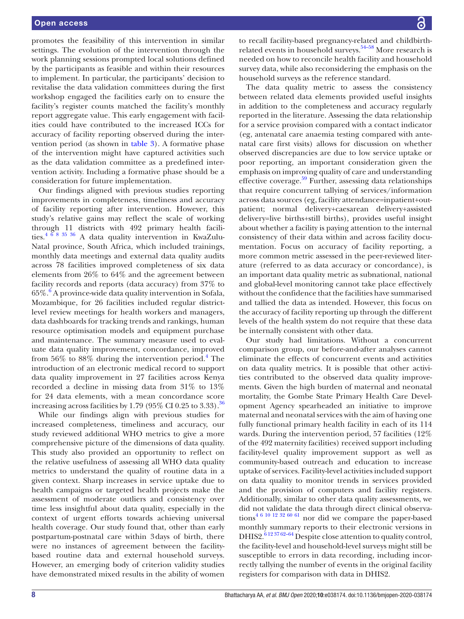promotes the feasibility of this intervention in similar settings. The evolution of the intervention through the work planning sessions prompted local solutions defined by the participants as feasible and within their resources to implement. In particular, the participants' decision to revitalise the data validation committees during the first workshop engaged the facilities early on to ensure the facility's register counts matched the facility's monthly report aggregate value. This early engagement with facilities could have contributed to the increased ICCs for accuracy of facility reporting observed during the intervention period (as shown in [table](#page-6-0) 3). A formative phase of the intervention might have captured activities such as the data validation committee as a predefined intervention activity. Including a formative phase should be a consideration for future implementation.

Our findings aligned with previous studies reporting improvements in completeness, timeliness and accuracy of facility reporting after intervention. However, this study's relative gains may reflect the scale of working through 11 districts with 492 primary health facilities. $4^{6}$   $8^{8}$   $35^{8}$   $8^{4}$   $A$  data quality intervention in KwaZulu-Natal province, South Africa, which included trainings, monthly data meetings and external data quality audits across 78 facilities improved completeness of six data elements from 26% to 64% and the agreement between facility records and reports (data accuracy) from 37% to 65%.<sup>6</sup> A province-wide data quality intervention in Sofala, Mozambique, for 26 facilities included regular districtlevel review meetings for health workers and managers, data dashboards for tracking trends and rankings, human resource optimisation models and equipment purchase and maintenance. The summary measure used to evaluate data quality improvement, concordance, improved from 56% to 88% during the intervention period.<sup>[4](#page-8-1)</sup> The introduction of an electronic medical record to support data quality improvement in 27 facilities across Kenya recorded a decline in missing data from 31% to 13% for 24 data elements, with a mean concordance score increasing across facilities by  $1.79$  ( $95\%$  CI 0.25 to  $3.33$ ).<sup>[36](#page-9-12)</sup>

While our findings align with previous studies for increased completeness, timeliness and accuracy, our study reviewed additional WHO metrics to give a more comprehensive picture of the dimensions of data quality. This study also provided an opportunity to reflect on the relative usefulness of assessing all WHO data quality metrics to understand the quality of routine data in a given context. Sharp increases in service uptake due to health campaigns or targeted health projects make the assessment of moderate outliers and consistency over time less insightful about data quality, especially in the context of urgent efforts towards achieving universal health coverage. Our study found that, other than early postpartum-postnatal care within 3days of birth, there were no instances of agreement between the facilitybased routine data and external household surveys. However, an emerging body of criterion validity studies have demonstrated mixed results in the ability of women

to recall facility-based pregnancy-related and childbirthrelated events in household surveys.<sup>54–58</sup> More research is needed on how to reconcile health facility and household survey data, while also reconsidering the emphasis on the household surveys as the reference standard.

The data quality metric to assess the consistency between related data elements provided useful insights in addition to the completeness and accuracy regularly reported in the literature. Assessing the data relationship for a service provision compared with a contact indicator (eg, antenatal care anaemia testing compared with antenatal care first visits) allows for discussion on whether observed discrepancies are due to low service uptake or poor reporting, an important consideration given the emphasis on improving quality of care and understanding effective coverage. $59$  Further, assessing data relationships that require concurrent tallying of services/information across data sources (eg, facility attendance=inpatient+outpatient; normal delivery+caesarean delivery+assisted delivery=live births+still births), provides useful insight about whether a facility is paying attention to the internal consistency of their data within and across facility documentation. Focus on accuracy of facility reporting, a more common metric assessed in the peer-reviewed literature (referred to as data accuracy or concordance), is an important data quality metric as subnational, national and global-level monitoring cannot take place effectively without the confidence that the facilities have summarised and tallied the data as intended. However, this focus on the accuracy of facility reporting up through the different levels of the health system do not require that these data be internally consistent with other data.

Our study had limitations. Without a concurrent comparison group, our before-and-after analyses cannot eliminate the effects of concurrent events and activities on data quality metrics. It is possible that other activities contributed to the observed data quality improvements. Given the high burden of maternal and neonatal mortality, the Gombe State Primary Health Care Development Agency spearheaded an initiative to improve maternal and neonatal services with the aim of having one fully functional primary health facility in each of its 114 wards. During the intervention period, 57 facilities (12% of the 492 maternity facilities) received support including facility-level quality improvement support as well as community-based outreach and education to increase uptake of services. Facility-level activities included support on data quality to monitor trends in services provided and the provision of computers and facility registers. Additionally, similar to other data quality assessments, we did not validate the data through direct clinical observa- $\frac{46 \text{ lb}}{10 \text{ m}^2}$   $\frac{60 \text{ lb}}{10 \text{ m}}$  nor did we compare the paper-based monthly summary reports to their electronic versions in DHIS2.<sup>612 37 62–64</sup> Despite close attention to quality control, the facility-level and household-level surveys might still be susceptible to errors in data recording, including incorrectly tallying the number of events in the original facility registers for comparison with data in DHIS2.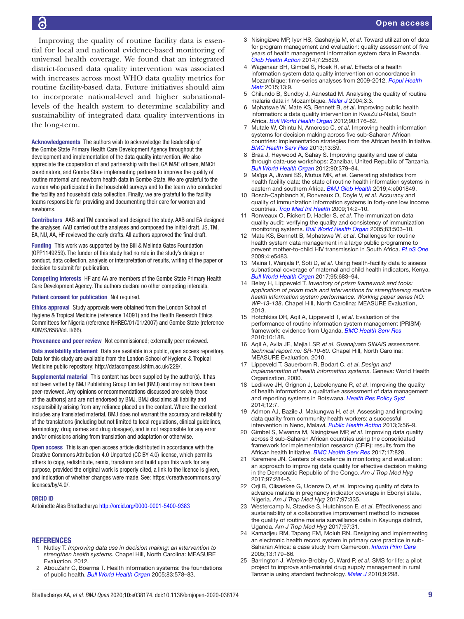### Open access

6

Improving the quality of routine facility data is essential for local and national evidence-based monitoring of universal health coverage. We found that an integrated district-focused data quality intervention was associated with increases across most WHO data quality metrics for routine facility-based data. Future initiatives should aim to incorporate national-level and higher subnationallevels of the health system to determine scalability and sustainability of integrated data quality interventions in the long-term.

Acknowledgements The authors wish to acknowledge the leadership of the Gombe State Primary Health Care Development Agency throughout the development and implementation of the data quality intervention. We also appreciate the cooperation of and partnership with the LGA M&E officers, MNCH coordinators, and Gombe State implementing partners to improve the quality of routine maternal and newborn health data in Gombe State. We are grateful to the women who participated in the household surveys and to the team who conducted the facility and household data collection. Finally, we are grateful to the facility teams responsible for providing and documenting their care for women and newborns.

Contributors AAB and TM conceived and designed the study. AAB and EA designed the analyses. AAB carried out the analyses and composed the initial draft. JS, TM, EA, NU, AA, HF reviewed the early drafts. All authors approved the final draft.

Funding This work was supported by the Bill & Melinda Gates Foundation (OPP1149259). The funder of this study had no role in the study's design or conduct, data collection, analysis or interpretation of results, writing of the paper or decision to submit for publication.

Competing interests HF and AA are members of the Gombe State Primary Health Care Development Agency. The authors declare no other competing interests.

Patient consent for publication Not required.

Ethics approval Study approvals were obtained from the London School of Hygiene & Tropical Medicine (reference 14091) and the Health Research Ethics Committees for Nigeria (reference NHREC/01/01/2007) and Gombe State (reference ADM/S/658/Vol. II/66).

Provenance and peer review Not commissioned; externally peer reviewed.

Data availability statement Data are available in a public, open access repository. Data for this study are available from the London School of Hygiene & Tropical Medicine public repository: [http://datacompass.lshtm.ac.uk/229/.](http://datacompass.lshtm.ac.uk/229/)

Supplemental material This content has been supplied by the author(s). It has not been vetted by BMJ Publishing Group Limited (BMJ) and may not have been peer-reviewed. Any opinions or recommendations discussed are solely those of the author(s) and are not endorsed by BMJ. BMJ disclaims all liability and responsibility arising from any reliance placed on the content. Where the content includes any translated material, BMJ does not warrant the accuracy and reliability of the translations (including but not limited to local regulations, clinical guidelines, terminology, drug names and drug dosages), and is not responsible for any error and/or omissions arising from translation and adaptation or otherwise.

Open access This is an open access article distributed in accordance with the Creative Commons Attribution 4.0 Unported (CC BY 4.0) license, which permits others to copy, redistribute, remix, transform and build upon this work for any purpose, provided the original work is properly cited, a link to the licence is given, and indication of whether changes were made. See: [https://creativecommons.org/](https://creativecommons.org/licenses/by/4.0/) [licenses/by/4.0/.](https://creativecommons.org/licenses/by/4.0/)

#### ORCID iD

Antoinette Alas Bhattacharya <http://orcid.org/0000-0001-5400-9383>

#### <span id="page-8-0"></span>**REFERENCES**

- 1 Nutley T. *Improving data use in decision making: an intervention to strengthen health systems*. Chapel Hill, North Carolina: MEASURE Evaluation, 2012.
- 2 AbouZahr C, Boerma T. Health information systems: the foundations of public health. *[Bull World Health Organ](http://dx.doi.org//S0042-96862005000800010)* 2005;83:578–83.
- <span id="page-8-7"></span>3 Nisingizwe MP, Iyer HS, Gashayija M, *et al*. Toward utilization of data for program management and evaluation: quality assessment of five years of health management information system data in Rwanda. *[Glob Health Action](http://dx.doi.org/10.3402/gha.v7.25829)* 2014;7:25829.
- <span id="page-8-1"></span>4 Wagenaar BH, Gimbel S, Hoek R, *et al*. Effects of a health information system data quality intervention on concordance in Mozambique: time-series analyses from 2009-2012. *[Popul Health](http://dx.doi.org/10.1186/s12963-015-0043-3)  [Metr](http://dx.doi.org/10.1186/s12963-015-0043-3)* 2015;13:9.
- 5 Chilundo B, Sundby J, Aanestad M. Analysing the quality of routine malaria data in Mozambique. *[Malar J](http://dx.doi.org/10.1186/1475-2875-3-3)* 2004;3:3.
- <span id="page-8-4"></span>6 Mphatswe W, Mate KS, Bennett B, *et al*. Improving public health information: a data quality intervention in KwaZulu-Natal, South Africa. *[Bull World Health Organ](http://dx.doi.org/10.2471/BLT.11.092759)* 2012;90:176–82.
- <span id="page-8-5"></span>7 Mutale W, Chintu N, Amoroso C, *et al*. Improving health information systems for decision making across five sub-Saharan African countries: implementation strategies from the African health Initiative. *[BMC Health Serv Res](http://dx.doi.org/10.1186/1472-6963-13-S2-S9)* 2013;13:S9.
- <span id="page-8-8"></span>8 Braa J, Heywood A, Sahay S. Improving quality and use of data through data-use workshops: Zanzibar, United Republic of Tanzania. *[Bull World Health Organ](http://dx.doi.org/10.2471/BLT.11.099580)* 2012;90:379–84.
- <span id="page-8-9"></span>9 Maïga A, Jiwani SS, Mutua MK, *et al*. Generating statistics from health facility data: the state of routine health information systems in eastern and southern Africa. *[BMJ Glob Health](http://dx.doi.org/10.1136/bmjgh-2019-001849)* 2019;4:e001849.
- <span id="page-8-2"></span>10 Bosch-Capblanch X, Ronveaux O, Doyle V, *et al*. Accuracy and quality of immunization information systems in forty-one low income countries. *[Trop Med Int Health](http://dx.doi.org/10.1111/j.1365-3156.2008.02181.x)* 2009;14:2–10.
- 11 Ronveaux O, Rickert D, Hadler S, *et al*. The immunization data quality audit: verifying the quality and consistency of immunization monitoring systems. *[Bull World Health Organ](http://www.ncbi.nlm.nih.gov/pubmed/http://www.ncbi.nlm.nih.gov/pubmed/16175824)* 2005;83:503–10.
- 12 Mate KS, Bennett B, Mphatswe W, *et al*. Challenges for routine health system data management in a large public programme to prevent mother-to-child HIV transmission in South Africa. *[PLoS One](http://dx.doi.org/10.1371/journal.pone.0005483)* 2009;4:e5483.
- 13 Maina I, Wanjala P, Soti D, *et al*. Using health-facility data to assess subnational coverage of maternal and child health indicators, Kenya. *[Bull World Health Organ](http://dx.doi.org/10.2471/BLT.17.194399)* 2017;95:683–94.
- <span id="page-8-3"></span>14 Belay H, Lippeveld T. *Inventory of prism framework and tools: application of prism tools and interventions for strengthening routine health information system performance. Working paper series NO: WP-13-138*. Chapel Hill, North Carolina: MEASURE Evaluation, 2013.
- 15 Hotchkiss DR, Aqil A, Lippeveld T, *et al*. Evaluation of the performance of routine information system management (PRISM) framework: evidence from Uganda. *[BMC Health Serv Res](http://dx.doi.org/10.1186/1472-6963-10-188)* 2010;10:188.
- 16 Aqil A, Avila JE, Mejia LSP, *et al*. *Guanajuato SINAIS assessment. technical report no: SR-10-60*. Chapel Hill, North Carolina: MEASURE Evaluation, 2010.
- 17 Lippeveld T, Sauerborn R, Bodart C, *et al*. *Design and implementation of health information systems*. Geneva: World Health Organization, 2000.
- 18 Ledikwe JH, Grignon J, Lebelonyane R, *et al*. Improving the quality of health information: a qualitative assessment of data management and reporting systems in Botswana. *[Health Res Policy Syst](http://dx.doi.org/10.1186/1478-4505-12-7)* 2014;12:7.
- 19 Admon AJ, Bazile J, Makungwa H, *et al*. Assessing and improving data quality from community health workers: a successful intervention in Neno, Malawi. *[Public Health Action](http://dx.doi.org/10.5588/pha.12.0071)* 2013;3:56–9.
- <span id="page-8-6"></span>20 Gimbel S, Mwanza M, Nisingizwe MP, *et al*. Improving data quality across 3 sub-Saharan African countries using the consolidated framework for implementation research (CFIR): results from the African health Initiative. *[BMC Health Serv Res](http://dx.doi.org/10.1186/s12913-017-2660-y)* 2017;17:828.
- 21 Karemere JN. Centers of excellence in monitoring and evaluation: an approach to improving data quality for effective decision making in the Democratic Republic of the Congo. *Am J Trop Med Hyg* 2017;97:284–5.
- 22 Orji B, Olisaekee G, Udenze O, *et al*. Improving quality of data to advance malaria in pregnancy indicator coverage in Ebonyi state, Nigeria. *Am J Trop Med Hyg* 2017;97:335.
- 23 Westercamp N, Staedke S, Hutchinson E, *et al*. Effectiveness and sustainability of a collaborative improvement method to increase the quality of routine malaria surveillance data in Kayunga district, Uganda. *Am J Trop Med Hyg* 2017;97:31.
- 24 Kamadjeu RM, Tapang EM, Moluh RN. Designing and implementing an electronic health record system in primary care practice in sub-Saharan Africa: a case study from Cameroon. *[Inform Prim Care](http://dx.doi.org/10.14236/jhi.v13i3.595)* 2005;13:179–86.
- 25 Barrington J, Wereko-Brobby O, Ward P, *et al*. SMS for life: a pilot project to improve anti-malarial drug supply management in rural Tanzania using standard technology. *[Malar J](http://dx.doi.org/10.1186/1475-2875-9-298)* 2010;9:298.